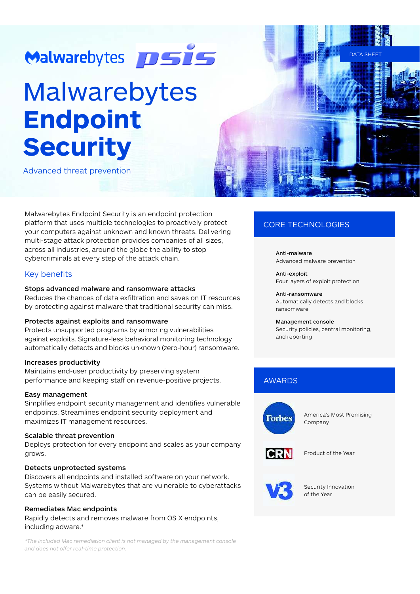# Malwarebytes **DSIS**

# Malwarebytes **Endpoint Security**

Advanced threat prevention

Malwarebytes Endpoint Security is an endpoint protection platform that uses multiple technologies to proactively protect your computers against unknown and known threats. Delivering multi-stage attack protection provides companies of all sizes, across all industries, around the globe the ability to stop cybercriminals at every step of the attack chain.

## Key benefits

#### Stops advanced malware and ransomware attacks

Reduces the chances of data exfiltration and saves on IT resources by protecting against malware that traditional security can miss.

#### Protects against exploits and ransomware

Protects unsupported programs by armoring vulnerabilities against exploits. Signature-less behavioral monitoring technology automatically detects and blocks unknown (zero-hour) ransomware.

#### Increases productivity

Maintains end-user productivity by preserving system performance and keeping staff on revenue-positive projects.

#### Easy management

Simplifies endpoint security management and identifies vulnerable endpoints. Streamlines endpoint security deployment and maximizes IT management resources.

#### Scalable threat prevention

Deploys protection for every endpoint and scales as your company grows.

#### Detects unprotected systems

Discovers all endpoints and installed software on your network. Systems without Malwarebytes that are vulnerable to cyberattacks can be easily secured.

#### Remediates Mac endpoints

Rapidly detects and removes malware from OS X endpoints, including adware.\*

*\*The included Mac remediation client is not managed by the management console and does not o6er real-time protection.*

# CORE TECHNOLOGIES

Anti-malware Advanced malware prevention

DATA SHI

Anti-exploit Four layers of exploit protection

Anti-ransomware Automatically detects and blocks ransomware

# Management console

Security policies, central monitoring, and reporting

# AWARDS



America's Most Promising Company



Product of the Year



Security Innovation of the Year